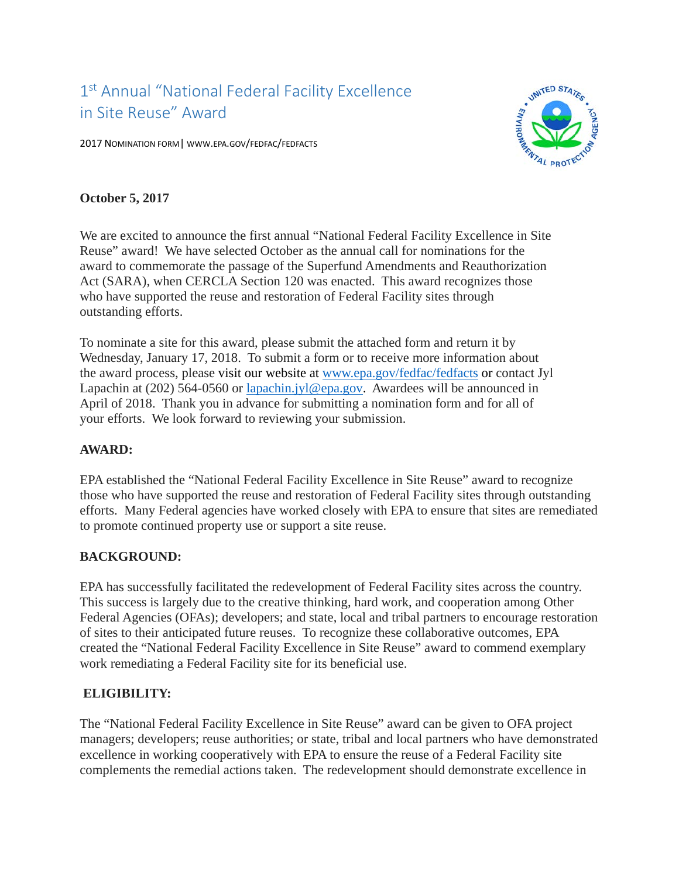# 1<sup>st</sup> Annual "National Federal Facility Excellence in Site Reuse" Award

2017 NOMINATION FORM| WWW.EPA.GOV/FEDFAC/FEDFACTS



### **October 5, 2017**

 Reuse" award! We have selected October as the annual call for nominations for the Act (SARA), when CERCLA Section 120 was enacted. This award recognizes those We are excited to announce the first annual "National Federal Facility Excellence in Site award to commemorate the passage of the Superfund Amendments and Reauthorization who have supported the reuse and restoration of Federal Facility sites through outstanding efforts.

 Wednesday, January 17, 2018. To submit a form or to receive more information about To nominate a site for this award, please submit the attached form and return it by the award process, please visit our website at [www.epa.gov/fedfac/fedfacts](http://www.epa.gov/fedfac/fedfacts) or contact Jyl Lapachin at (202) 564-0560 or [lapachin.jyl@epa.gov.](mailto:lapachin.jyl@epa.gov) Awardees will be announced in April of 2018. Thank you in advance for submitting a nomination form and for all of your efforts. We look forward to reviewing your submission.

#### **AWARD:**

EPA established the "National Federal Facility Excellence in Site Reuse" award to recognize those who have supported the reuse and restoration of Federal Facility sites through outstanding efforts. Many Federal agencies have worked closely with EPA to ensure that sites are remediated to promote continued property use or support a site reuse.

## **BACKGROUND:**

 This success is largely due to the creative thinking, hard work, and cooperation among Other Federal Agencies (OFAs); developers; and state, local and tribal partners to encourage restoration EPA has successfully facilitated the redevelopment of Federal Facility sites across the country. of sites to their anticipated future reuses. To recognize these collaborative outcomes, EPA created the "National Federal Facility Excellence in Site Reuse" award to commend exemplary work remediating a Federal Facility site for its beneficial use.

## **ELIGIBILITY:**

 The "National Federal Facility Excellence in Site Reuse" award can be given to OFA project managers; developers; reuse authorities; or state, tribal and local partners who have demonstrated excellence in working cooperatively with EPA to ensure the reuse of a Federal Facility site complements the remedial actions taken. The redevelopment should demonstrate excellence in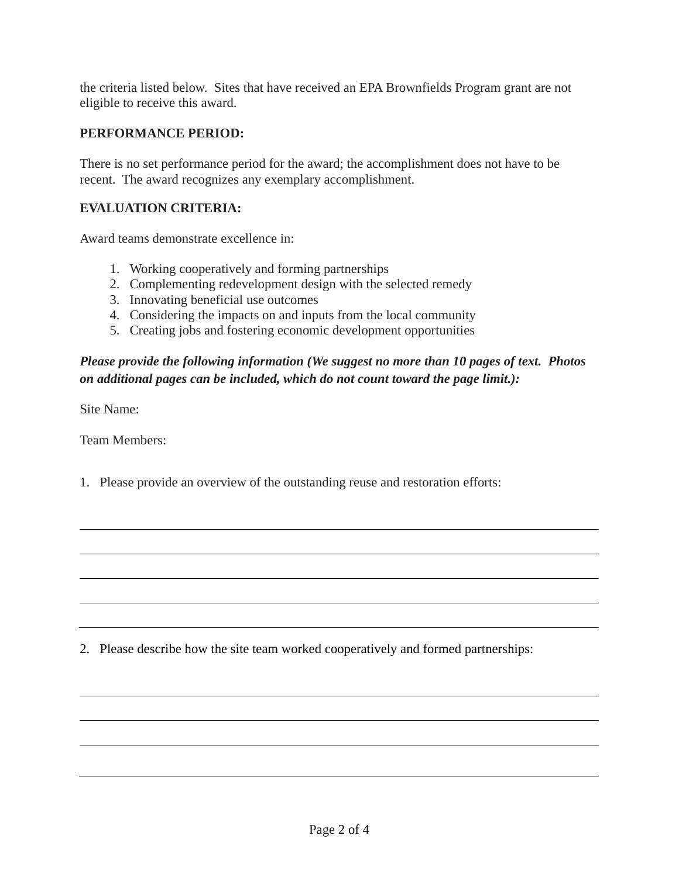eligible to receive this award. the criteria listed below. Sites that have received an EPA Brownfields Program grant are not

#### **PERFORMANCE PERIOD:**

 There is no set performance period for the award; the accomplishment does not have to be recent. The award recognizes any exemplary accomplishment.

#### **EVALUATION CRITERIA:**

Award teams demonstrate excellence in:

- 1. Working cooperatively and forming partnerships
- 2. Complementing redevelopment design with the selected remedy
- 3. Innovating beneficial use outcomes
- 4. Considering the impacts on and inputs from the local community
- 5. Creating jobs and fostering economic development opportunities

## *Please provide the following information (We suggest no more than 10 pages of text. Photos on additional pages can be included, which do not count toward the page limit.):*

Site Name:

Team Members:

1. Please provide an overview of the outstanding reuse and restoration efforts:

2. Please describe how the site team worked cooperatively and formed partnerships: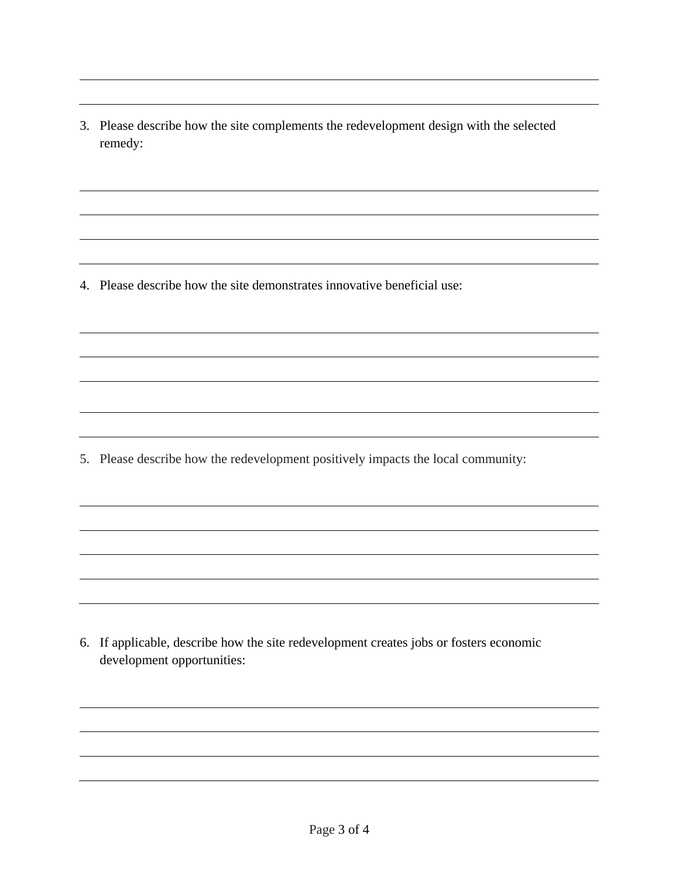3. Please describe how the site complements the redevelopment design with the selected remedy:

4. Please describe how the site demonstrates innovative beneficial use:

5. Please describe how the redevelopment positively impacts the local community:

 6. If applicable, describe how the site redevelopment creates jobs or fosters economic development opportunities: